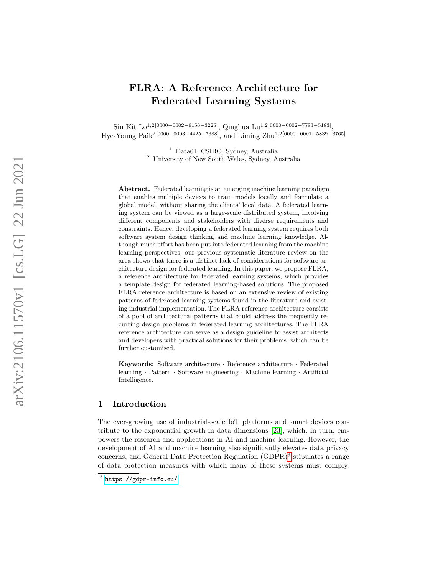# FLRA: A Reference Architecture for Federated Learning Systems

Sin Kit Lo<sup>1,2[0000–0002–9156–3225]</sup>, Qinghua Lu<sup>1,2[0000–0002–7783–5183]</sup>, Hye-Young Paik<sup>2[0000–0003–4425–7388]</sup>, and Liming Zhu<sup>1,2</sup>[<sup>0000–0001–5839–3765]</sup>

> $^{\rm 1}$  Data61, CSIRO, Sydney, Australia <sup>2</sup> University of New South Wales, Sydney, Australia

Abstract. Federated learning is an emerging machine learning paradigm that enables multiple devices to train models locally and formulate a global model, without sharing the clients' local data. A federated learning system can be viewed as a large-scale distributed system, involving different components and stakeholders with diverse requirements and constraints. Hence, developing a federated learning system requires both software system design thinking and machine learning knowledge. Although much effort has been put into federated learning from the machine learning perspectives, our previous systematic literature review on the area shows that there is a distinct lack of considerations for software architecture design for federated learning. In this paper, we propose FLRA, a reference architecture for federated learning systems, which provides a template design for federated learning-based solutions. The proposed FLRA reference architecture is based on an extensive review of existing patterns of federated learning systems found in the literature and existing industrial implementation. The FLRA reference architecture consists of a pool of architectural patterns that could address the frequently recurring design problems in federated learning architectures. The FLRA reference architecture can serve as a design guideline to assist architects and developers with practical solutions for their problems, which can be further customised.

Keywords: Software architecture · Reference architecture · Federated learning · Pattern · Software engineering · Machine learning · Artificial Intelligence.

## 1 Introduction

The ever-growing use of industrial-scale IoT platforms and smart devices contribute to the exponential growth in data dimensions [\[23\]](#page-14-0), which, in turn, empowers the research and applications in AI and machine learning. However, the development of AI and machine learning also significantly elevates data privacy concerns, and General Data Protection Regulation (GDPR) [3](#page-0-0) stipulates a range of data protection measures with which many of these systems must comply.

<span id="page-0-0"></span> $3$  <https://gdpr-info.eu/>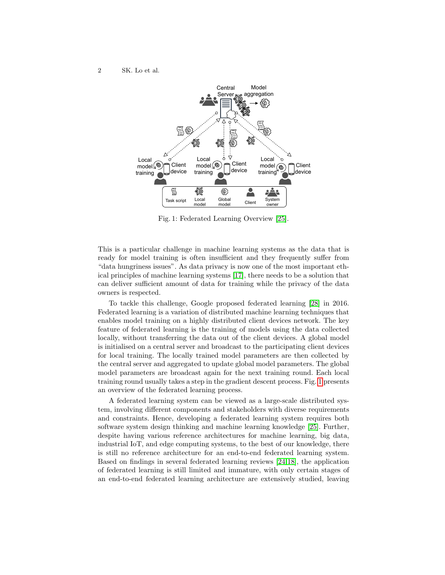<span id="page-1-0"></span>

Fig. 1: Federated Learning Overview [\[25\]](#page-14-1).

This is a particular challenge in machine learning systems as the data that is ready for model training is often insufficient and they frequently suffer from "data hungriness issues". As data privacy is now one of the most important ethical principles of machine learning systems [\[17\]](#page-14-2), there needs to be a solution that can deliver sufficient amount of data for training while the privacy of the data owners is respected.

To tackle this challenge, Google proposed federated learning [\[28\]](#page-14-3) in 2016. Federated learning is a variation of distributed machine learning techniques that enables model training on a highly distributed client devices network. The key feature of federated learning is the training of models using the data collected locally, without transferring the data out of the client devices. A global model is initialised on a central server and broadcast to the participating client devices for local training. The locally trained model parameters are then collected by the central server and aggregated to update global model parameters. The global model parameters are broadcast again for the next training round. Each local training round usually takes a step in the gradient descent process. Fig. [1](#page-1-0) presents an overview of the federated learning process.

A federated learning system can be viewed as a large-scale distributed system, involving different components and stakeholders with diverse requirements and constraints. Hence, developing a federated learning system requires both software system design thinking and machine learning knowledge [\[25\]](#page-14-1). Further, despite having various reference architectures for machine learning, big data, industrial IoT, and edge computing systems, to the best of our knowledge, there is still no reference architecture for an end-to-end federated learning system. Based on findings in several federated learning reviews [\[24,](#page-14-4)[18\]](#page-14-5), the application of federated learning is still limited and immature, with only certain stages of an end-to-end federated learning architecture are extensively studied, leaving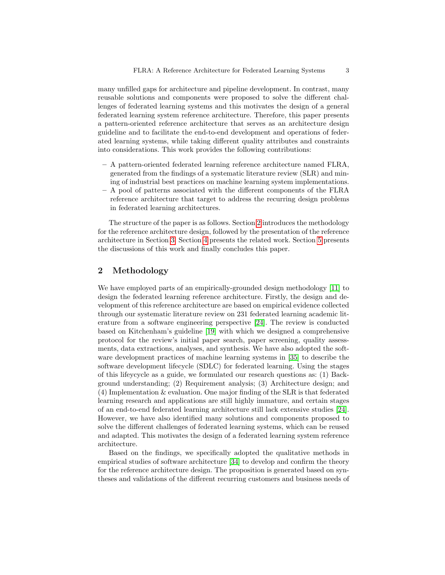many unfilled gaps for architecture and pipeline development. In contrast, many reusable solutions and components were proposed to solve the different challenges of federated learning systems and this motivates the design of a general federated learning system reference architecture. Therefore, this paper presents a pattern-oriented reference architecture that serves as an architecture design guideline and to facilitate the end-to-end development and operations of federated learning systems, while taking different quality attributes and constraints into considerations. This work provides the following contributions:

- A pattern-oriented federated learning reference architecture named FLRA, generated from the findings of a systematic literature review (SLR) and mining of industrial best practices on machine learning system implementations.
- A pool of patterns associated with the different components of the FLRA reference architecture that target to address the recurring design problems in federated learning architectures.

The structure of the paper is as follows. Section [2](#page-2-0) introduces the methodology for the reference architecture design, followed by the presentation of the reference architecture in Section [3.](#page-5-0) Section [4](#page-11-0) presents the related work. Section [5](#page-12-0) presents the discussions of this work and finally concludes this paper.

## <span id="page-2-0"></span>2 Methodology

We have employed parts of an empirically-grounded design methodology [\[11\]](#page-14-6) to design the federated learning reference architecture. Firstly, the design and development of this reference architecture are based on empirical evidence collected through our systematic literature review on 231 federated learning academic literature from a software engineering perspective [\[24\]](#page-14-4). The review is conducted based on Kitchenham's guideline [\[19\]](#page-14-7) with which we designed a comprehensive protocol for the review's initial paper search, paper screening, quality assessments, data extractions, analyses, and synthesis. We have also adopted the software development practices of machine learning systems in [\[35\]](#page-15-0) to describe the software development lifecycle (SDLC) for federated learning. Using the stages of this lifeycycle as a guide, we formulated our research questions as: (1) Background understanding; (2) Requirement analysis; (3) Architecture design; and (4) Implementation & evaluation. One major finding of the SLR is that federated learning research and applications are still highly immature, and certain stages of an end-to-end federated learning architecture still lack extensive studies [\[24\]](#page-14-4). However, we have also identified many solutions and components proposed to solve the different challenges of federated learning systems, which can be reused and adapted. This motivates the design of a federated learning system reference architecture.

Based on the findings, we specifically adopted the qualitative methods in empirical studies of software architecture [\[34\]](#page-15-1) to develop and confirm the theory for the reference architecture design. The proposition is generated based on syntheses and validations of the different recurring customers and business needs of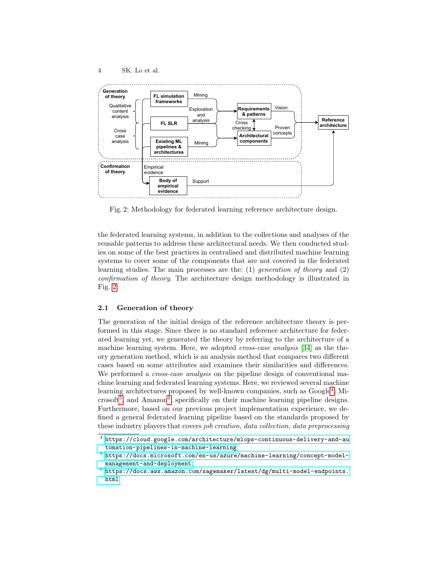<span id="page-3-0"></span>

Fig. 2: Methodology for federated learning reference architecture design.

the federated learning systems, in addition to the collections and analyses of the reusable patterns to address these architectural needs. We then conducted studies on some of the best practices in centralised and distributed machine learning systems to cover some of the components that are not covered in the federated learning studies. The main processes are the:  $(1)$  generation of theory and  $(2)$ confirmation of theory. The architecture design methodology is illustrated in Fig. [2.](#page-3-0)

### 2.1 Generation of theory

The generation of the initial design of the reference architecture theory is performed in this stage. Since there is no standard reference architecture for federated learning yet, we generated the theory by referring to the architecture of a machine learning system. Here, we adopted cross-case analysis [\[34\]](#page-15-1) as the theory generation method, which is an analysis method that compares two different cases based on some attributes and examines their similarities and differences. We performed a *cross-case analysis* on the pipeline design of conventional machine learning and federated learning systems. Here, we reviewed several machine learning architectures proposed by well-known companies, such as Google<sup>[4](#page-3-1)</sup>, Mi- $\alpha$ crosoft<sup>[5](#page-3-2)</sup>, and Amazon<sup>[6](#page-3-3)</sup>, specifically on their machine learning pipeline designs. Furthermore, based on our previous project implementation experience, we defined a general federated learning pipeline based on the standards proposed by these industry players that covers job creation, data collection, data preprocessing

<span id="page-3-1"></span><sup>4</sup> [https://cloud.google.com/architecture/mlops-continuous-delivery-and-au](https://cloud.google.com/architecture/mlops-continuous-delivery-and-automation-pipelines-in-machine-learning) [tomation-pipelines-in-machine-learning](https://cloud.google.com/architecture/mlops-continuous-delivery-and-automation-pipelines-in-machine-learning)

<span id="page-3-2"></span> $^5$  [https://docs.microsoft.com/en-us/azure/machine-learning/concept-model](https://docs.microsoft.com/en-us/azure/machine-learning/concept-model-management-and-deployment)[management-and-deployment](https://docs.microsoft.com/en-us/azure/machine-learning/concept-model-management-and-deployment)

<span id="page-3-3"></span> $^6$  [https://docs.aws.amazon.com/sagemaker/latest/dg/multi-model-endpoints.](https://docs.aws.amazon.com/sagemaker/latest/dg/multi-model-endpoints.html) [html](https://docs.aws.amazon.com/sagemaker/latest/dg/multi-model-endpoints.html)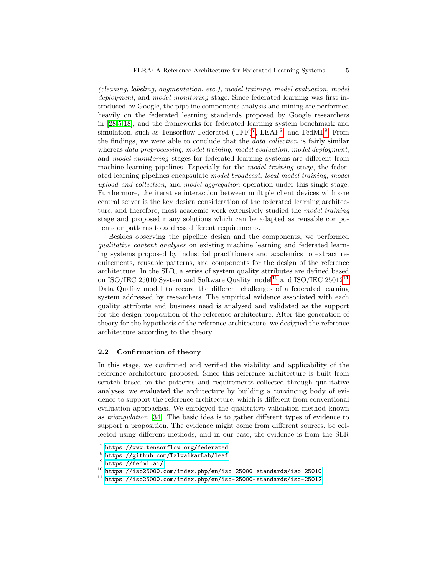(cleaning, labeling, augmentation, etc.), model training, model evaluation, model deployment, and model monitoring stage. Since federated learning was first introduced by Google, the pipeline components analysis and mining are performed heavily on the federated learning standards proposed by Google researchers in [\[28](#page-14-3)[,5](#page-13-0)[,18\]](#page-14-5), and the frameworks for federated learning system benchmark and simulation, such as Tensorflow Federated  $(TFF)^7$  $(TFF)^7$ , LEAF<sup>[8](#page-4-1)</sup>, and FedML<sup>[9](#page-4-2)</sup>. From the findings, we were able to conclude that the data collection is fairly similar whereas data preprocessing, model training, model evaluation, model deployment, and model monitoring stages for federated learning systems are different from machine learning pipelines. Especially for the *model training* stage, the federated learning pipelines encapsulate model broadcast, local model training, model upload and collection, and model aggregation operation under this single stage. Furthermore, the iterative interaction between multiple client devices with one central server is the key design consideration of the federated learning architecture, and therefore, most academic work extensively studied the model training stage and proposed many solutions which can be adapted as reusable components or patterns to address different requirements.

Besides observing the pipeline design and the components, we performed qualitative content analyses on existing machine learning and federated learning systems proposed by industrial practitioners and academics to extract requirements, reusable patterns, and components for the design of the reference architecture. In the SLR, a series of system quality attributes are defined based on ISO/IEC 250[10](#page-4-3) System and Software Quality model<sup>10</sup> and ISO/IEC 25012<sup>[11](#page-4-4)</sup> Data Quality model to record the different challenges of a federated learning system addressed by researchers. The empirical evidence associated with each quality attribute and business need is analysed and validated as the support for the design proposition of the reference architecture. After the generation of theory for the hypothesis of the reference architecture, we designed the reference architecture according to the theory.

### 2.2 Confirmation of theory

In this stage, we confirmed and verified the viability and applicability of the reference architecture proposed. Since this reference architecture is built from scratch based on the patterns and requirements collected through qualitative analyses, we evaluated the architecture by building a convincing body of evidence to support the reference architecture, which is different from conventional evaluation approaches. We employed the qualitative validation method known as triangulation [\[34\]](#page-15-1). The basic idea is to gather different types of evidence to support a proposition. The evidence might come from different sources, be collected using different methods, and in our case, the evidence is from the SLR

<span id="page-4-0"></span><sup>7</sup> <https://www.tensorflow.org/federated>

<span id="page-4-1"></span><sup>8</sup> <https://github.com/TalwalkarLab/leaf>

<span id="page-4-2"></span> $^9$  <https://fedml.ai/>

<span id="page-4-3"></span> $^{10}$  <https://iso25000.com/index.php/en/iso-25000-standards/iso-25010>

<span id="page-4-4"></span> $11$  <https://iso25000.com/index.php/en/iso-25000-standards/iso-25012>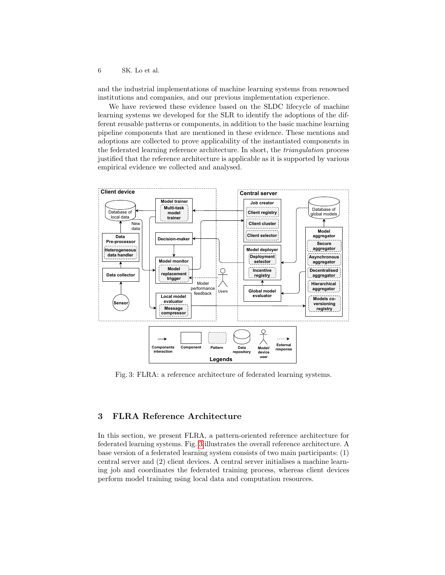and the industrial implementations of machine learning systems from renowned institutions and companies, and our previous implementation experience.

We have reviewed these evidence based on the SLDC lifecycle of machine learning systems we developed for the SLR to identify the adoptions of the different reusable patterns or components, in addition to the basic machine learning pipeline components that are mentioned in these evidence. These mentions and adoptions are collected to prove applicability of the instantiated components in the federated learning reference architecture. In short, the triangulation process justified that the reference architecture is applicable as it is supported by various empirical evidence we collected and analysed.

<span id="page-5-1"></span>

Fig. 3: FLRA: a reference architecture of federated learning systems.

## <span id="page-5-0"></span>3 FLRA Reference Architecture

In this section, we present FLRA, a pattern-oriented reference architecture for federated learning systems. Fig. [3](#page-5-1) illustrates the overall reference architecture. A base version of a federated learning system consists of two main participants: (1) central server and (2) client devices. A central server initialises a machine learning job and coordinates the federated training process, whereas client devices perform model training using local data and computation resources.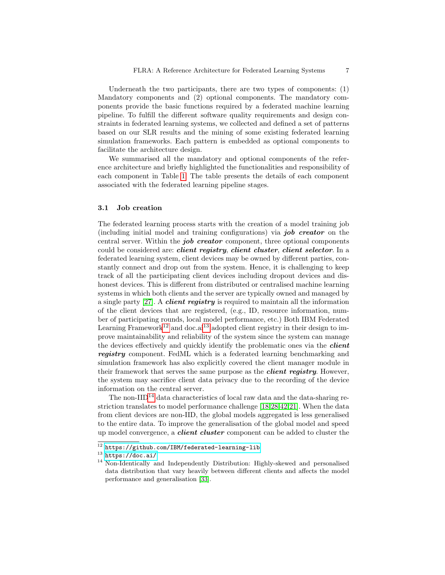Underneath the two participants, there are two types of components: (1) Mandatory components and (2) optional components. The mandatory components provide the basic functions required by a federated machine learning pipeline. To fulfill the different software quality requirements and design constraints in federated learning systems, we collected and defined a set of patterns based on our SLR results and the mining of some existing federated learning simulation frameworks. Each pattern is embedded as optional components to facilitate the architecture design.

We summarised all the mandatory and optional components of the reference architecture and briefly highlighted the functionalities and responsibility of each component in Table [1.](#page-7-0) The table presents the details of each component associated with the federated learning pipeline stages.

### 3.1 Job creation

The federated learning process starts with the creation of a model training job (including initial model and training configurations) via job creator on the central server. Within the *job creator* component, three optional components could be considered are: *client registry, client cluster, client selector*. In a federated learning system, client devices may be owned by different parties, constantly connect and drop out from the system. Hence, it is challenging to keep track of all the participating client devices including dropout devices and dishonest devices. This is different from distributed or centralised machine learning systems in which both clients and the server are typically owned and managed by a single party [\[27\]](#page-14-8). A *client registry* is required to maintain all the information of the client devices that are registered, (e.g., ID, resource information, number of participating rounds, local model performance, etc.) Both IBM Federated Learning Framework<sup>[12](#page-6-0)</sup> and doc.ai<sup>[13](#page-6-1)</sup> adopted client registry in their design to improve maintainability and reliability of the system since the system can manage the devices effectively and quickly identify the problematic ones via the *client* registry component. FedML which is a federated learning benchmarking and simulation framework has also explicitly covered the client manager module in their framework that serves the same purpose as the *client registry*. However, the system may sacrifice client data privacy due to the recording of the device information on the central server.

The non-IID<sup>[14](#page-6-2)</sup> data characteristics of local raw data and the data-sharing restriction translates to model performance challenge [\[18,](#page-14-5)[28,](#page-14-3)[42](#page-15-2)[,21\]](#page-14-9). When the data from client devices are non-IID, the global models aggregated is less generalised to the entire data. To improve the generalisation of the global model and speed up model convergence, a *client cluster* component can be added to cluster the

<span id="page-6-0"></span> $12$  <https://github.com/IBM/federated-learning-lib>

<span id="page-6-1"></span> $13$  <https://doc.ai/>

<span id="page-6-2"></span><sup>&</sup>lt;sup>14</sup> Non-Identically and Independently Distribution: Highly-skewed and personalised data distribution that vary heavily between different clients and affects the model performance and generalisation [\[33\]](#page-15-3).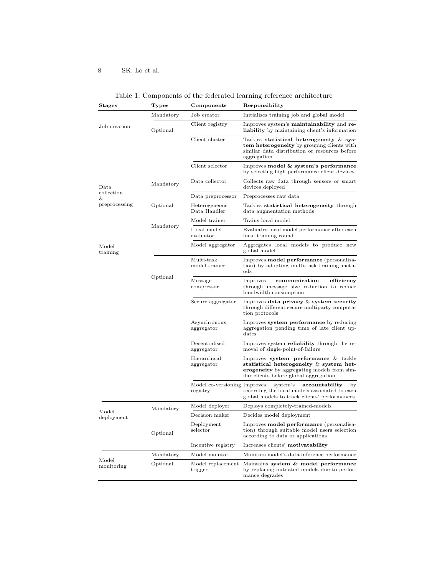| Stages                                                         | Types     | Components                               | Responsibility                                                                                                                                                             |
|----------------------------------------------------------------|-----------|------------------------------------------|----------------------------------------------------------------------------------------------------------------------------------------------------------------------------|
|                                                                | Mandatory | Job creator                              | Initialises training job and global model                                                                                                                                  |
| Job creation                                                   | Optional  | Client registry                          | Improves system's <b>maintainability</b> and re-<br>liability by maintaining client's information                                                                          |
|                                                                |           | Client cluster                           | Tackles statistical heterogeneity $\&$ sys-<br>tem heterogeneity by grouping clients with<br>similar data distribution or resources before<br>aggregation                  |
|                                                                |           | Client selector                          | Improves model & system's performance<br>by selecting high performance client devices                                                                                      |
| Data.<br>collection<br>&<br>preprocessing<br>Model<br>training | Mandatory | Data collector                           | Collects raw data through sensors or smart<br>devices deployed                                                                                                             |
|                                                                |           | Data preprocessor                        | Preprocesses raw data                                                                                                                                                      |
|                                                                | Optional  | Heterogeneous<br>Data Handler            | Tackles statistical heterogeneity through<br>data augmentation methods                                                                                                     |
|                                                                | Mandatory | Model trainer                            | Trains local model                                                                                                                                                         |
|                                                                |           | Local model<br>evaluator                 | Evaluates local model performance after each<br>local training round                                                                                                       |
|                                                                |           | Model aggregator                         | Aggregates local models to produce new<br>global model                                                                                                                     |
|                                                                | Optional  | Multi-task<br>model trainer              | Improves model performance (personalisa-<br>tion) by adopting multi-task training meth-<br>$_{\rm ods}$                                                                    |
|                                                                |           | Message<br>compressor                    | Improves<br>communication<br>efficiency<br>through message size reduction to reduce<br>bandwidth consumption                                                               |
|                                                                |           | Secure aggregator                        | Improves data privacy $\&$ system security<br>through different secure multiparty computa-<br>tion protocols                                                               |
|                                                                |           | Asynchronous<br>aggregator               | Improves system performance by reducing<br>aggregation pending time of late client up-<br>dates                                                                            |
|                                                                |           | Decentralised<br>aggregator              | Improves system <b>reliability</b> through the re-<br>moval of single-point-of-failure                                                                                     |
|                                                                |           | Hierarchical<br>aggregator               | Improves system performance $\&$ tackle<br>statistical heterogeneity & system het-<br>erogeneity by aggregating models from sim-<br>ilar clients before global aggregation |
|                                                                |           | Model co-versioning Improves<br>registry | system's<br>accountability<br>by<br>recording the local models associated to each<br>global models to track clients' performances                                          |
| Model<br>deployment                                            | Mandatory | Model deployer                           | Deploys completely-trained-models                                                                                                                                          |
|                                                                |           | Decision maker                           | Decides model deployment                                                                                                                                                   |
|                                                                | Optional  | Deployment<br>selector                   | Improves model performance (personalisa-<br>tion) through suitable model users selection<br>according to data or applications                                              |
|                                                                |           | Incentive registry                       | Increases clients' motivatability                                                                                                                                          |
| Model<br>monitoring                                            | Mandatory | Model monitor                            | Monitors model's data inference performance                                                                                                                                |
|                                                                | Optional  | Model replacement<br>trigger             | Maintains system & model performance<br>by replacing outdated models due to perfor-<br>mance degrades                                                                      |

## <span id="page-7-0"></span>Table 1: Components of the federated learning reference architecture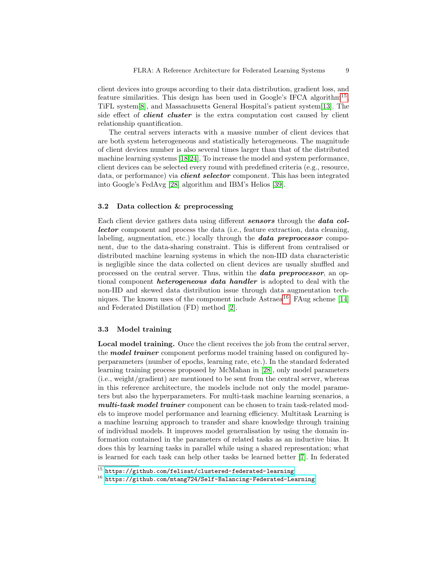client devices into groups according to their data distribution, gradient loss, and feature similarities. This design has been used in Google's IFCA algorithm<sup>[15](#page-8-0)</sup>, TiFL system[\[8\]](#page-13-1), and Massachusetts General Hospital's patient system[\[13\]](#page-14-10). The side effect of *client cluster* is the extra computation cost caused by client relationship quantification.

The central servers interacts with a massive number of client devices that are both system heterogeneous and statistically heterogeneous. The magnitude of client devices number is also several times larger than that of the distributed machine learning systems [\[18](#page-14-5)[,24\]](#page-14-4). To increase the model and system performance, client devices can be selected every round with predefined criteria (e.g., resource, data, or performance) via *client selector* component. This has been integrated into Google's FedAvg [\[28\]](#page-14-3) algorithm and IBM's Helios [\[39\]](#page-15-4).

### 3.2 Data collection & preprocessing

Each client device gathers data using different sensors through the data collector component and process the data (i.e., feature extraction, data cleaning, labeling, augmentation, etc.) locally through the **data preprocessor** component, due to the data-sharing constraint. This is different from centralised or distributed machine learning systems in which the non-IID data characteristic is negligible since the data collected on client devices are usually shuffled and processed on the central server. Thus, within the data preprocessor, an optional component *heterogeneous data handler* is adopted to deal with the non-IID and skewed data distribution issue through data augmentation techniques. The known uses of the component include  $Astraea^{16}$  $Astraea^{16}$  $Astraea^{16}$ , FAug scheme [\[14\]](#page-14-11) and Federated Distillation (FD) method [\[2\]](#page-13-2).

### 3.3 Model training

Local model training. Once the client receives the job from the central server, the **model trainer** component performs model training based on configured hyperparameters (number of epochs, learning rate, etc.). In the standard federated learning training process proposed by McMahan in [\[28\]](#page-14-3), only model parameters (i.e., weight/gradient) are mentioned to be sent from the central server, whereas in this reference architecture, the models include not only the model parameters but also the hyperparameters. For multi-task machine learning scenarios, a multi-task model trainer component can be chosen to train task-related models to improve model performance and learning efficiency. Multitask Learning is a machine learning approach to transfer and share knowledge through training of individual models. It improves model generalisation by using the domain information contained in the parameters of related tasks as an inductive bias. It does this by learning tasks in parallel while using a shared representation; what is learned for each task can help other tasks be learned better [\[7\]](#page-13-3). In federated

<span id="page-8-0"></span> $^{15}$  <https://github.com/felisat/clustered-federated-learning>

<span id="page-8-1"></span><sup>16</sup> <https://github.com/mtang724/Self-Balancing-Federated-Learning>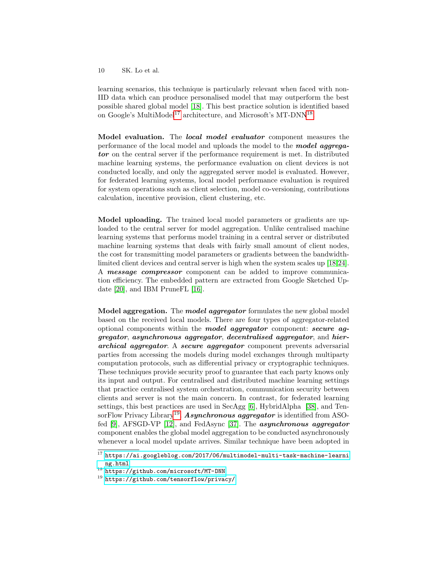learning scenarios, this technique is particularly relevant when faced with non-IID data which can produce personalised model that may outperform the best possible shared global model [\[18\]](#page-14-5). This best practice solution is identified based on Google's MultiModel<sup>[17](#page-9-0)</sup> architecture, and Microsoft's MT-DNN<sup>[18](#page-9-1)</sup>.

Model evaluation. The *local model evaluator* component measures the performance of the local model and uploads the model to the **model aggrega**tor on the central server if the performance requirement is met. In distributed machine learning systems, the performance evaluation on client devices is not conducted locally, and only the aggregated server model is evaluated. However, for federated learning systems, local model performance evaluation is required for system operations such as client selection, model co-versioning, contributions calculation, incentive provision, client clustering, etc.

Model uploading. The trained local model parameters or gradients are uploaded to the central server for model aggregation. Unlike centralised machine learning systems that performs model training in a central server or distributed machine learning systems that deals with fairly small amount of client nodes, the cost for transmitting model parameters or gradients between the bandwidthlimited client devices and central server is high when the system scales up [\[18,](#page-14-5)[24\]](#page-14-4). A message compressor component can be added to improve communication efficiency. The embedded pattern are extracted from Google Sketched Update [\[20\]](#page-14-12), and IBM PruneFL [\[16\]](#page-14-13).

Model aggregation. The model aggregator formulates the new global model based on the received local models. There are four types of aggregator-related optional components within the *model aggregator* component: secure aggregator, asynchronous aggregator, decentralised aggregator, and hierarchical aggregator. A secure aggregator component prevents adversarial parties from accessing the models during model exchanges through multiparty computation protocols, such as differential privacy or cryptographic techniques. These techniques provide security proof to guarantee that each party knows only its input and output. For centralised and distributed machine learning settings that practice centralised system orchestration, communication security between clients and server is not the main concern. In contrast, for federated learning settings, this best practices are used in SecAgg [\[6\]](#page-13-4), HybridAlpha [\[38\]](#page-15-5), and Ten-sorFlow Privacy Library<sup>[19](#page-9-2)</sup>. Asynchronous aggregator is identified from ASOfed [\[9\]](#page-13-5), AFSGD-VP [\[12\]](#page-14-14), and FedAsync [\[37\]](#page-15-6). The asynchronous aggregator component enables the global model aggregation to be conducted asynchronously whenever a local model update arrives. Similar technique have been adopted in

<span id="page-9-0"></span> $17$  [https://ai.googleblog.com/2017/06/multimodel-multi-task-machine-learni](https://ai.googleblog.com/2017/06/multimodel-multi-task-machine-learning.html) [ng.html](https://ai.googleblog.com/2017/06/multimodel-multi-task-machine-learning.html)

<span id="page-9-1"></span><sup>18</sup> <https://github.com/microsoft/MT-DNN>

<span id="page-9-2"></span><sup>19</sup> <https://github.com/tensorflow/privacy/>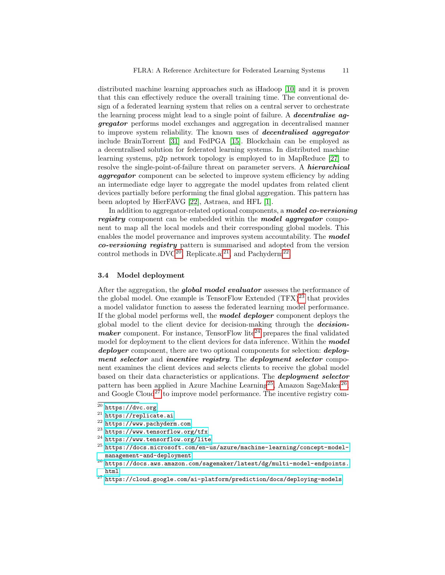distributed machine learning approaches such as iHadoop [\[10\]](#page-13-6) and it is proven that this can effectively reduce the overall training time. The conventional design of a federated learning system that relies on a central server to orchestrate the learning process might lead to a single point of failure. A **decentralise ag**gregator performs model exchanges and aggregation in decentralised manner to improve system reliability. The known uses of decentralised aggregator include BrainTorrent [\[31\]](#page-15-7) and FedPGA [\[15\]](#page-14-15). Blockchain can be employed as a decentralised solution for federated learning systems. In distributed machine learning systems, p2p network topology is employed to in MapReduce [\[27\]](#page-14-8) to resolve the single-point-of-failure threat on parameter servers. A *hierarchical* **aggregator** component can be selected to improve system efficiency by adding an intermediate edge layer to aggregate the model updates from related client devices partially before performing the final global aggregation. This pattern has been adopted by HierFAVG [\[22\]](#page-14-16), Astraea, and HFL [\[1\]](#page-13-7).

In addition to aggregator-related optional components, a **model co-versioning** registry component can be embedded within the model aggregator component to map all the local models and their corresponding global models. This enables the model provernance and improves system accountability. The **model** co-versioning registry pattern is summarised and adopted from the version control methods in  $DVC^{20}$  $DVC^{20}$  $DVC^{20}$ , Replicate.ai<sup>[21](#page-10-1)</sup>, and Pachyderm<sup>[22](#page-10-2)</sup>.

### 3.4 Model deployment

After the aggregation, the **global model evaluator** assesses the performance of the global model. One example is  $TensorFlow$  Extended  $(TFX)^{23}$  $(TFX)^{23}$  $(TFX)^{23}$  that provides a model validator function to assess the federated learning model performance. If the global model performs well, the **model deployer** component deploys the global model to the client device for decision-making through the decision*maker* component. For instance, TensorFlow lite<sup>[24](#page-10-4)</sup> prepares the final validated model for deployment to the client devices for data inference. Within the **model** deployer component, there are two optional components for selection:  $deploy$ ment selector and incentive registry. The deployment selector component examines the client devices and selects clients to receive the global model based on their data characteristics or applications. The deployment selector pattern has been applied in Azure Machine Learning<sup>[25](#page-10-5)</sup>, Amazon SageMaker<sup>[26](#page-10-6)</sup>, and Google Cloud<sup>[27](#page-10-7)</sup> to improve model performance. The incentive registry com-

<span id="page-10-0"></span> $20$  <https://dvc.org>

<span id="page-10-1"></span> $^{\rm 21}$ <https://replicate.ai>

<span id="page-10-2"></span><sup>22</sup> <https://www.pachyderm.com>

<span id="page-10-3"></span><sup>23</sup> <https://www.tensorflow.org/tfx>

<span id="page-10-4"></span><sup>24</sup> <https://www.tensorflow.org/lite>

<span id="page-10-5"></span><sup>25</sup> [https://docs.microsoft.com/en-us/azure/machine-learning/concept-model](https://docs.microsoft.com/en-us/azure/machine-learning/concept-model-management-and-deployment)[management-and-deployment](https://docs.microsoft.com/en-us/azure/machine-learning/concept-model-management-and-deployment)

<span id="page-10-6"></span> $^{26}$ [https://docs.aws.amazon.com/sagemaker/latest/dg/multi-model-endpoints.](https://docs.aws.amazon.com/sagemaker/latest/dg/multi-model-endpoints.html) [html](https://docs.aws.amazon.com/sagemaker/latest/dg/multi-model-endpoints.html)

<span id="page-10-7"></span> $^{27}$ <https://cloud.google.com/ai-platform/prediction/docs/deploying-models>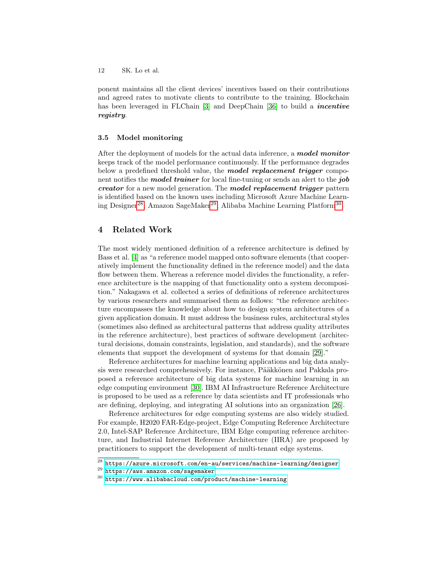ponent maintains all the client devices' incentives based on their contributions and agreed rates to motivate clients to contribute to the training. Blockchain has been leveraged in FLChain [\[3\]](#page-13-8) and DeepChain [\[36\]](#page-15-8) to build a *incentive* registry.

### 3.5 Model monitoring

After the deployment of models for the actual data inference, a **model monitor** keeps track of the model performance continuously. If the performance degrades below a predefined threshold value, the **model replacement trigger** component notifies the **model trainer** for local fine-tuning or sends an alert to the **job** creator for a new model generation. The model replacement trigger pattern is identified based on the known uses including Microsoft Azure Machine Learn-ing Designer<sup>[28](#page-11-1)</sup>, Amazon SageMaker<sup>[29](#page-11-2)</sup>, Alibaba Machine Learning Platform<sup>[30](#page-11-3)</sup>.

## <span id="page-11-0"></span>4 Related Work

The most widely mentioned definition of a reference architecture is defined by Bass et al. [\[4\]](#page-13-9) as "a reference model mapped onto software elements (that cooperatively implement the functionality defined in the reference model) and the data flow between them. Whereas a reference model divides the functionality, a reference architecture is the mapping of that functionality onto a system decomposition." Nakagawa et al. collected a series of definitions of reference architectures by various researchers and summarised them as follows: "the reference architecture encompasses the knowledge about how to design system architectures of a given application domain. It must address the business rules, architectural styles (sometimes also defined as architectural patterns that address quality attributes in the reference architecture), best practices of software development (architectural decisions, domain constraints, legislation, and standards), and the software elements that support the development of systems for that domain [\[29\]](#page-15-9)."

Reference architectures for machine learning applications and big data analysis were researched comprehensively. For instance, Pääkkönen and Pakkala proposed a reference architecture of big data systems for machine learning in an edge computing environment [\[30\]](#page-15-10). IBM AI Infrastructure Reference Architecture is proposed to be used as a reference by data scientists and IT professionals who are defining, deploying, and integrating AI solutions into an organization [\[26\]](#page-14-17).

Reference architectures for edge computing systems are also widely studied. For example, H2020 FAR-Edge-project, Edge Computing Reference Architecture 2.0, Intel-SAP Reference Architecture, IBM Edge computing reference architecture, and Industrial Internet Reference Architecture (IIRA) are proposed by practitioners to support the development of multi-tenant edge systems.

<span id="page-11-1"></span> $^{28}$ <https://azure.microsoft.com/en-au/services/machine-learning/designer>

<span id="page-11-2"></span><sup>29</sup> <https://aws.amazon.com/sagemaker>

<span id="page-11-3"></span><sup>30</sup> <https://www.alibabacloud.com/product/machine-learning>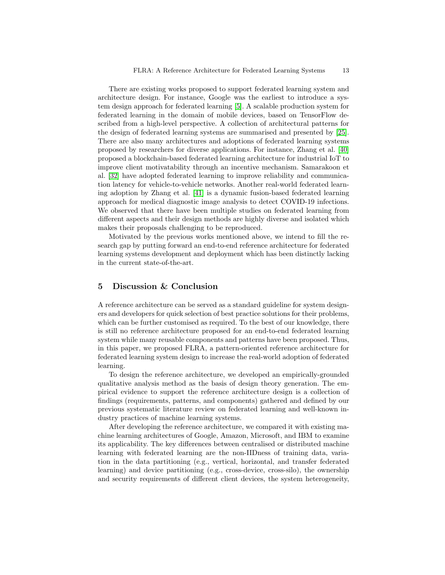There are existing works proposed to support federated learning system and architecture design. For instance, Google was the earliest to introduce a system design approach for federated learning [\[5\]](#page-13-0). A scalable production system for federated learning in the domain of mobile devices, based on TensorFlow described from a high-level perspective. A collection of architectural patterns for the design of federated learning systems are summarised and presented by [\[25\]](#page-14-1). There are also many architectures and adoptions of federated learning systems proposed by researchers for diverse applications. For instance, Zhang et al. [\[40\]](#page-15-11) proposed a blockchain-based federated learning architecture for industrial IoT to improve client motivatability through an incentive mechanism. Samarakoon et al. [\[32\]](#page-15-12) have adopted federated learning to improve reliability and communication latency for vehicle-to-vehicle networks. Another real-world federated learning adoption by Zhang et al. [\[41\]](#page-15-13) is a dynamic fusion-based federated learning approach for medical diagnostic image analysis to detect COVID-19 infections. We observed that there have been multiple studies on federated learning from different aspects and their design methods are highly diverse and isolated which makes their proposals challenging to be reproduced.

Motivated by the previous works mentioned above, we intend to fill the research gap by putting forward an end-to-end reference architecture for federated learning systems development and deployment which has been distinctly lacking in the current state-of-the-art.

## <span id="page-12-0"></span>5 Discussion & Conclusion

A reference architecture can be served as a standard guideline for system designers and developers for quick selection of best practice solutions for their problems, which can be further customised as required. To the best of our knowledge, there is still no reference architecture proposed for an end-to-end federated learning system while many reusable components and patterns have been proposed. Thus, in this paper, we proposed FLRA, a pattern-oriented reference architecture for federated learning system design to increase the real-world adoption of federated learning.

To design the reference architecture, we developed an empirically-grounded qualitative analysis method as the basis of design theory generation. The empirical evidence to support the reference architecture design is a collection of findings (requirements, patterns, and components) gathered and defined by our previous systematic literature review on federated learning and well-known industry practices of machine learning systems.

After developing the reference architecture, we compared it with existing machine learning architectures of Google, Amazon, Microsoft, and IBM to examine its applicability. The key differences between centralised or distributed machine learning with federated learning are the non-IIDness of training data, variation in the data partitioning (e.g., vertical, horizontal, and transfer federated learning) and device partitioning (e.g., cross-device, cross-silo), the ownership and security requirements of different client devices, the system heterogeneity,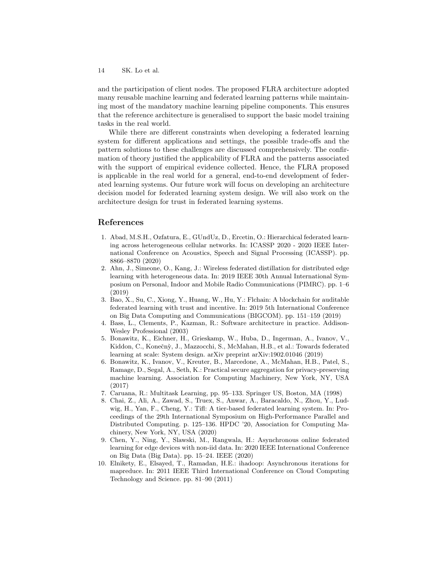and the participation of client nodes. The proposed FLRA architecture adopted many reusable machine learning and federated learning patterns while maintaining most of the mandatory machine learning pipeline components. This ensures that the reference architecture is generalised to support the basic model training tasks in the real world.

While there are different constraints when developing a federated learning system for different applications and settings, the possible trade-offs and the pattern solutions to these challenges are discussed comprehensively. The confirmation of theory justified the applicability of FLRA and the patterns associated with the support of empirical evidence collected. Hence, the FLRA proposed is applicable in the real world for a general, end-to-end development of federated learning systems. Our future work will focus on developing an architecture decision model for federated learning system design. We will also work on the architecture design for trust in federated learning systems.

## References

- <span id="page-13-7"></span>1. Abad, M.S.H., Ozfatura, E., GUndUz, D., Ercetin, O.: Hierarchical federated learning across heterogeneous cellular networks. In: ICASSP 2020 - 2020 IEEE International Conference on Acoustics, Speech and Signal Processing (ICASSP). pp. 8866–8870 (2020)
- <span id="page-13-2"></span>2. Ahn, J., Simeone, O., Kang, J.: Wireless federated distillation for distributed edge learning with heterogeneous data. In: 2019 IEEE 30th Annual International Symposium on Personal, Indoor and Mobile Radio Communications (PIMRC). pp. 1–6 (2019)
- <span id="page-13-8"></span>3. Bao, X., Su, C., Xiong, Y., Huang, W., Hu, Y.: Flchain: A blockchain for auditable federated learning with trust and incentive. In: 2019 5th International Conference on Big Data Computing and Communications (BIGCOM). pp. 151–159 (2019)
- <span id="page-13-9"></span>4. Bass, L., Clements, P., Kazman, R.: Software architecture in practice. Addison-Wesley Professional (2003)
- <span id="page-13-0"></span>5. Bonawitz, K., Eichner, H., Grieskamp, W., Huba, D., Ingerman, A., Ivanov, V., Kiddon, C., Konečnỳ, J., Mazzocchi, S., McMahan, H.B., et al.: Towards federated learning at scale: System design. arXiv preprint arXiv:1902.01046 (2019)
- <span id="page-13-4"></span>6. Bonawitz, K., Ivanov, V., Kreuter, B., Marcedone, A., McMahan, H.B., Patel, S., Ramage, D., Segal, A., Seth, K.: Practical secure aggregation for privacy-preserving machine learning. Association for Computing Machinery, New York, NY, USA (2017)
- <span id="page-13-3"></span>7. Caruana, R.: Multitask Learning, pp. 95–133. Springer US, Boston, MA (1998)
- <span id="page-13-1"></span>8. Chai, Z., Ali, A., Zawad, S., Truex, S., Anwar, A., Baracaldo, N., Zhou, Y., Ludwig, H., Yan, F., Cheng, Y.: Tifl: A tier-based federated learning system. In: Proceedings of the 29th International Symposium on High-Performance Parallel and Distributed Computing. p. 125–136. HPDC '20, Association for Computing Machinery, New York, NY, USA (2020)
- <span id="page-13-5"></span>9. Chen, Y., Ning, Y., Slawski, M., Rangwala, H.: Asynchronous online federated learning for edge devices with non-iid data. In: 2020 IEEE International Conference on Big Data (Big Data). pp. 15–24. IEEE (2020)
- <span id="page-13-6"></span>10. Elnikety, E., Elsayed, T., Ramadan, H.E.: ihadoop: Asynchronous iterations for mapreduce. In: 2011 IEEE Third International Conference on Cloud Computing Technology and Science. pp. 81–90 (2011)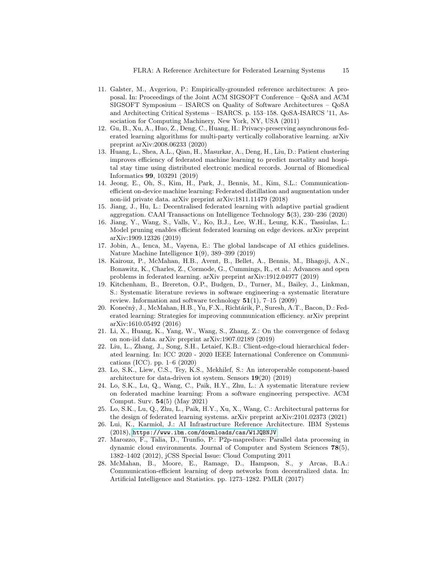- <span id="page-14-6"></span>11. Galster, M., Avgeriou, P.: Empirically-grounded reference architectures: A proposal. In: Proceedings of the Joint ACM SIGSOFT Conference – QoSA and ACM SIGSOFT Symposium – ISARCS on Quality of Software Architectures – QoSA and Architecting Critical Systems – ISARCS. p. 153–158. QoSA-ISARCS '11, Association for Computing Machinery, New York, NY, USA (2011)
- <span id="page-14-14"></span>12. Gu, B., Xu, A., Huo, Z., Deng, C., Huang, H.: Privacy-preserving asynchronous federated learning algorithms for multi-party vertically collaborative learning. arXiv preprint arXiv:2008.06233 (2020)
- <span id="page-14-10"></span>13. Huang, L., Shea, A.L., Qian, H., Masurkar, A., Deng, H., Liu, D.: Patient clustering improves efficiency of federated machine learning to predict mortality and hospital stay time using distributed electronic medical records. Journal of Biomedical Informatics 99, 103291 (2019)
- <span id="page-14-11"></span>14. Jeong, E., Oh, S., Kim, H., Park, J., Bennis, M., Kim, S.L.: Communicationefficient on-device machine learning: Federated distillation and augmentation under non-iid private data. arXiv preprint arXiv:1811.11479 (2018)
- <span id="page-14-15"></span>15. Jiang, J., Hu, L.: Decentralised federated learning with adaptive partial gradient aggregation. CAAI Transactions on Intelligence Technology 5(3), 230–236 (2020)
- <span id="page-14-13"></span>16. Jiang, Y., Wang, S., Valls, V., Ko, B.J., Lee, W.H., Leung, K.K., Tassiulas, L.: Model pruning enables efficient federated learning on edge devices. arXiv preprint arXiv:1909.12326 (2019)
- <span id="page-14-2"></span>17. Jobin, A., Ienca, M., Vayena, E.: The global landscape of AI ethics guidelines. Nature Machine Intelligence 1(9), 389–399 (2019)
- <span id="page-14-5"></span>18. Kairouz, P., McMahan, H.B., Avent, B., Bellet, A., Bennis, M., Bhagoji, A.N., Bonawitz, K., Charles, Z., Cormode, G., Cummings, R., et al.: Advances and open problems in federated learning. arXiv preprint arXiv:1912.04977 (2019)
- <span id="page-14-7"></span>19. Kitchenham, B., Brereton, O.P., Budgen, D., Turner, M., Bailey, J., Linkman, S.: Systematic literature reviews in software engineering–a systematic literature review. Information and software technology  $51(1)$ ,  $7-15(2009)$
- <span id="page-14-12"></span>20. Konečnỳ, J., McMahan, H.B., Yu, F.X., Richtárik, P., Suresh, A.T., Bacon, D.: Federated learning: Strategies for improving communication efficiency. arXiv preprint arXiv:1610.05492 (2016)
- <span id="page-14-9"></span>21. Li, X., Huang, K., Yang, W., Wang, S., Zhang, Z.: On the convergence of fedavg on non-iid data. arXiv preprint arXiv:1907.02189 (2019)
- <span id="page-14-16"></span>22. Liu, L., Zhang, J., Song, S.H., Letaief, K.B.: Client-edge-cloud hierarchical federated learning. In: ICC 2020 - 2020 IEEE International Conference on Communications (ICC). pp. 1–6 (2020)
- <span id="page-14-0"></span>23. Lo, S.K., Liew, C.S., Tey, K.S., Mekhilef, S.: An interoperable component-based architecture for data-driven iot system. Sensors 19(20) (2019)
- <span id="page-14-4"></span>24. Lo, S.K., Lu, Q., Wang, C., Paik, H.Y., Zhu, L.: A systematic literature review on federated machine learning: From a software engineering perspective. ACM Comput. Surv. 54(5) (May 2021)
- <span id="page-14-1"></span>25. Lo, S.K., Lu, Q., Zhu, L., Paik, H.Y., Xu, X., Wang, C.: Architectural patterns for the design of federated learning systems. arXiv preprint arXiv:2101.02373 (2021)
- <span id="page-14-17"></span>26. Lui, K., Karmiol, J.: AI Infrastructure Reference Architecture. IBM Systems (2018), <https://www.ibm.com/downloads/cas/W1JQBNJV>
- <span id="page-14-8"></span>27. Marozzo, F., Talia, D., Trunfio, P.: P2p-mapreduce: Parallel data processing in dynamic cloud environments. Journal of Computer and System Sciences 78(5), 1382–1402 (2012), jCSS Special Issue: Cloud Computing 2011
- <span id="page-14-3"></span>28. McMahan, B., Moore, E., Ramage, D., Hampson, S., y Arcas, B.A.: Communication-efficient learning of deep networks from decentralized data. In: Artificial Intelligence and Statistics. pp. 1273–1282. PMLR (2017)